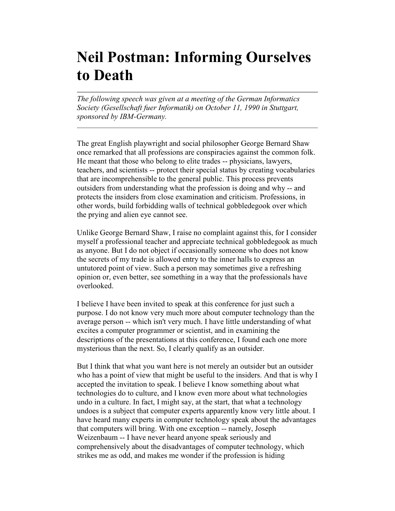## **Neil Postman: Informing Ourselves to Death**

*The following speech was given at a meeting of the German Informatics Society (Gesellschaft fuer Informatik) on October 11, 1990 in Stuttgart, sponsored by IBM-Germany.*

The great English playwright and social philosopher George Bernard Shaw once remarked that all professions are conspiracies against the common folk. He meant that those who belong to elite trades -- physicians, lawyers, teachers, and scientists -- protect their special status by creating vocabularies that are incomprehensible to the general public. This process prevents outsiders from understanding what the profession is doing and why -- and protects the insiders from close examination and criticism. Professions, in other words, build forbidding walls of technical gobbledegook over which the prying and alien eye cannot see.

Unlike George Bernard Shaw, I raise no complaint against this, for I consider myself a professional teacher and appreciate technical gobbledegook as much as anyone. But I do not object if occasionally someone who does not know the secrets of my trade is allowed entry to the inner halls to express an untutored point of view. Such a person may sometimes give a refreshing opinion or, even better, see something in a way that the professionals have overlooked.

I believe I have been invited to speak at this conference for just such a purpose. I do not know very much more about computer technology than the average person -- which isn't very much. I have little understanding of what excites a computer programmer or scientist, and in examining the descriptions of the presentations at this conference, I found each one more mysterious than the next. So, I clearly qualify as an outsider.

But I think that what you want here is not merely an outsider but an outsider who has a point of view that might be useful to the insiders. And that is why I accepted the invitation to speak. I believe I know something about what technologies do to culture, and I know even more about what technologies undo in a culture. In fact, I might say, at the start, that what a technology undoes is a subject that computer experts apparently know very little about. I have heard many experts in computer technology speak about the advantages that computers will bring. With one exception -- namely, Joseph Weizenbaum -- I have never heard anyone speak seriously and comprehensively about the disadvantages of computer technology, which strikes me as odd, and makes me wonder if the profession is hiding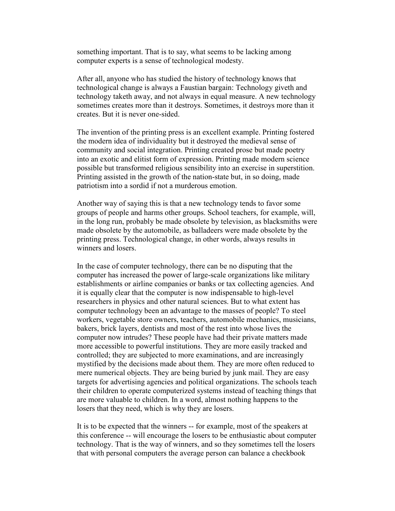something important. That is to say, what seems to be lacking among computer experts is a sense of technological modesty.

After all, anyone who has studied the history of technology knows that technological change is always a Faustian bargain: Technology giveth and technology taketh away, and not always in equal measure. A new technology sometimes creates more than it destroys. Sometimes, it destroys more than it creates. But it is never one-sided.

The invention of the printing press is an excellent example. Printing fostered the modern idea of individuality but it destroyed the medieval sense of community and social integration. Printing created prose but made poetry into an exotic and elitist form of expression. Printing made modern science possible but transformed religious sensibility into an exercise in superstition. Printing assisted in the growth of the nation-state but, in so doing, made patriotism into a sordid if not a murderous emotion.

Another way of saying this is that a new technology tends to favor some groups of people and harms other groups. School teachers, for example, will, in the long run, probably be made obsolete by television, as blacksmiths were made obsolete by the automobile, as balladeers were made obsolete by the printing press. Technological change, in other words, always results in winners and losers.

In the case of computer technology, there can be no disputing that the computer has increased the power of large-scale organizations like military establishments or airline companies or banks or tax collecting agencies. And it is equally clear that the computer is now indispensable to high-level researchers in physics and other natural sciences. But to what extent has computer technology been an advantage to the masses of people? To steel workers, vegetable store owners, teachers, automobile mechanics, musicians, bakers, brick layers, dentists and most of the rest into whose lives the computer now intrudes? These people have had their private matters made more accessible to powerful institutions. They are more easily tracked and controlled; they are subjected to more examinations, and are increasingly mystified by the decisions made about them. They are more often reduced to mere numerical objects. They are being buried by junk mail. They are easy targets for advertising agencies and political organizations. The schools teach their children to operate computerized systems instead of teaching things that are more valuable to children. In a word, almost nothing happens to the losers that they need, which is why they are losers.

It is to be expected that the winners -- for example, most of the speakers at this conference -- will encourage the losers to be enthusiastic about computer technology. That is the way of winners, and so they sometimes tell the losers that with personal computers the average person can balance a checkbook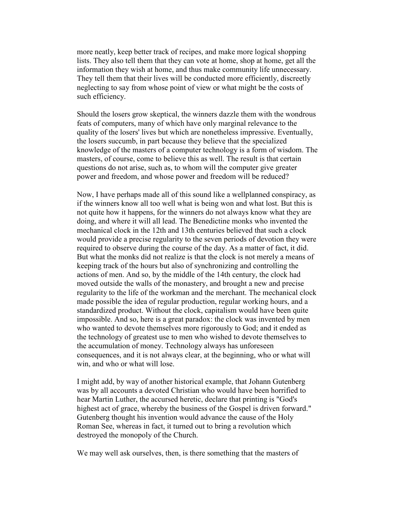more neatly, keep better track of recipes, and make more logical shopping lists. They also tell them that they can vote at home, shop at home, get all the information they wish at home, and thus make community life unnecessary. They tell them that their lives will be conducted more efficiently, discreetly neglecting to say from whose point of view or what might be the costs of such efficiency.

Should the losers grow skeptical, the winners dazzle them with the wondrous feats of computers, many of which have only marginal relevance to the quality of the losers' lives but which are nonetheless impressive. Eventually, the losers succumb, in part because they believe that the specialized knowledge of the masters of a computer technology is a form of wisdom. The masters, of course, come to believe this as well. The result is that certain questions do not arise, such as, to whom will the computer give greater power and freedom, and whose power and freedom will be reduced?

Now, I have perhaps made all of this sound like a wellplanned conspiracy, as if the winners know all too well what is being won and what lost. But this is not quite how it happens, for the winners do not always know what they are doing, and where it will all lead. The Benedictine monks who invented the mechanical clock in the 12th and 13th centuries believed that such a clock would provide a precise regularity to the seven periods of devotion they were required to observe during the course of the day. As a matter of fact, it did. But what the monks did not realize is that the clock is not merely a means of keeping track of the hours but also of synchronizing and controlling the actions of men. And so, by the middle of the 14th century, the clock had moved outside the walls of the monastery, and brought a new and precise regularity to the life of the workman and the merchant. The mechanical clock made possible the idea of regular production, regular working hours, and a standardized product. Without the clock, capitalism would have been quite impossible. And so, here is a great paradox: the clock was invented by men who wanted to devote themselves more rigorously to God; and it ended as the technology of greatest use to men who wished to devote themselves to the accumulation of money. Technology always has unforeseen consequences, and it is not always clear, at the beginning, who or what will win, and who or what will lose.

I might add, by way of another historical example, that Johann Gutenberg was by all accounts a devoted Christian who would have been horrified to hear Martin Luther, the accursed heretic, declare that printing is "God's highest act of grace, whereby the business of the Gospel is driven forward." Gutenberg thought his invention would advance the cause of the Holy Roman See, whereas in fact, it turned out to bring a revolution which destroyed the monopoly of the Church.

We may well ask ourselves, then, is there something that the masters of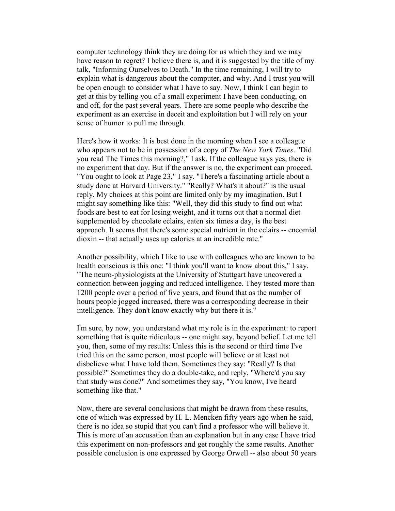computer technology think they are doing for us which they and we may have reason to regret? I believe there is, and it is suggested by the title of my talk, "Informing Ourselves to Death." In the time remaining, I will try to explain what is dangerous about the computer, and why. And I trust you will be open enough to consider what I have to say. Now, I think I can begin to get at this by telling you of a small experiment I have been conducting, on and off, for the past several years. There are some people who describe the experiment as an exercise in deceit and exploitation but I will rely on your sense of humor to pull me through.

Here's how it works: It is best done in the morning when I see a colleague who appears not to be in possession of a copy of *The New York Times*. "Did you read The Times this morning?," I ask. If the colleague says yes, there is no experiment that day. But if the answer is no, the experiment can proceed. "You ought to look at Page 23," I say. "There's a fascinating article about a study done at Harvard University." "Really? What's it about?" is the usual reply. My choices at this point are limited only by my imagination. But I might say something like this: "Well, they did this study to find out what foods are best to eat for losing weight, and it turns out that a normal diet supplemented by chocolate eclairs, eaten six times a day, is the best approach. It seems that there's some special nutrient in the eclairs -- encomial dioxin -- that actually uses up calories at an incredible rate."

Another possibility, which I like to use with colleagues who are known to be health conscious is this one: "I think you'll want to know about this," I say. "The neuro-physiologists at the University of Stuttgart have uncovered a connection between jogging and reduced intelligence. They tested more than 1200 people over a period of five years, and found that as the number of hours people jogged increased, there was a corresponding decrease in their intelligence. They don't know exactly why but there it is."

I'm sure, by now, you understand what my role is in the experiment: to report something that is quite ridiculous -- one might say, beyond belief. Let me tell you, then, some of my results: Unless this is the second or third time I've tried this on the same person, most people will believe or at least not disbelieve what I have told them. Sometimes they say: "Really? Is that possible?" Sometimes they do a double-take, and reply, "Where'd you say that study was done?" And sometimes they say, "You know, I've heard something like that."

Now, there are several conclusions that might be drawn from these results, one of which was expressed by H. L. Mencken fifty years ago when he said, there is no idea so stupid that you can't find a professor who will believe it. This is more of an accusation than an explanation but in any case I have tried this experiment on non-professors and get roughly the same results. Another possible conclusion is one expressed by George Orwell -- also about 50 years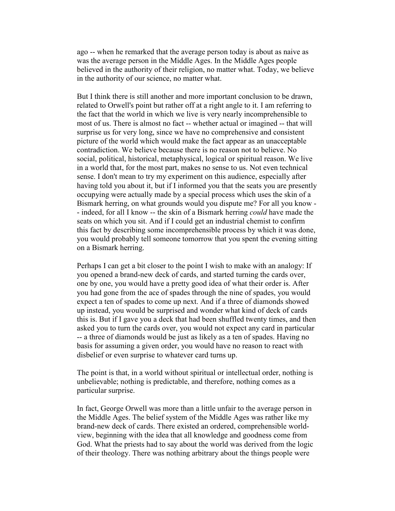ago -- when he remarked that the average person today is about as naive as was the average person in the Middle Ages. In the Middle Ages people believed in the authority of their religion, no matter what. Today, we believe in the authority of our science, no matter what.

But I think there is still another and more important conclusion to be drawn, related to Orwell's point but rather off at a right angle to it. I am referring to the fact that the world in which we live is very nearly incomprehensible to most of us. There is almost no fact -- whether actual or imagined -- that will surprise us for very long, since we have no comprehensive and consistent picture of the world which would make the fact appear as an unacceptable contradiction. We believe because there is no reason not to believe. No social, political, historical, metaphysical, logical or spiritual reason. We live in a world that, for the most part, makes no sense to us. Not even technical sense. I don't mean to try my experiment on this audience, especially after having told you about it, but if I informed you that the seats you are presently occupying were actually made by a special process which uses the skin of a Bismark herring, on what grounds would you dispute me? For all you know - - indeed, for all I know -- the skin of a Bismark herring *could* have made the seats on which you sit. And if I could get an industrial chemist to confirm this fact by describing some incomprehensible process by which it was done, you would probably tell someone tomorrow that you spent the evening sitting on a Bismark herring.

Perhaps I can get a bit closer to the point I wish to make with an analogy: If you opened a brand-new deck of cards, and started turning the cards over, one by one, you would have a pretty good idea of what their order is. After you had gone from the ace of spades through the nine of spades, you would expect a ten of spades to come up next. And if a three of diamonds showed up instead, you would be surprised and wonder what kind of deck of cards this is. But if I gave you a deck that had been shuffled twenty times, and then asked you to turn the cards over, you would not expect any card in particular -- a three of diamonds would be just as likely as a ten of spades. Having no basis for assuming a given order, you would have no reason to react with disbelief or even surprise to whatever card turns up.

The point is that, in a world without spiritual or intellectual order, nothing is unbelievable; nothing is predictable, and therefore, nothing comes as a particular surprise.

In fact, George Orwell was more than a little unfair to the average person in the Middle Ages. The belief system of the Middle Ages was rather like my brand-new deck of cards. There existed an ordered, comprehensible worldview, beginning with the idea that all knowledge and goodness come from God. What the priests had to say about the world was derived from the logic of their theology. There was nothing arbitrary about the things people were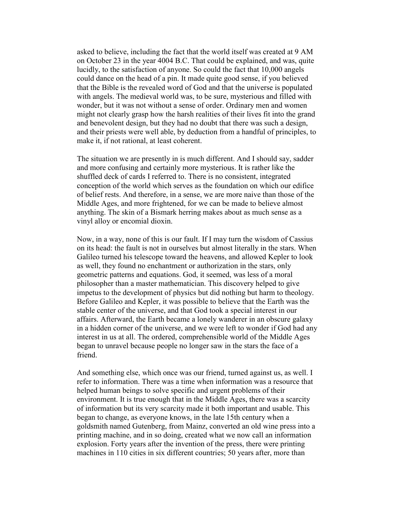asked to believe, including the fact that the world itself was created at 9 AM on October 23 in the year 4004 B.C. That could be explained, and was, quite lucidly, to the satisfaction of anyone. So could the fact that 10,000 angels could dance on the head of a pin. It made quite good sense, if you believed that the Bible is the revealed word of God and that the universe is populated with angels. The medieval world was, to be sure, mysterious and filled with wonder, but it was not without a sense of order. Ordinary men and women might not clearly grasp how the harsh realities of their lives fit into the grand and benevolent design, but they had no doubt that there was such a design, and their priests were well able, by deduction from a handful of principles, to make it, if not rational, at least coherent.

The situation we are presently in is much different. And I should say, sadder and more confusing and certainly more mysterious. It is rather like the shuffled deck of cards I referred to. There is no consistent, integrated conception of the world which serves as the foundation on which our edifice of belief rests. And therefore, in a sense, we are more naive than those of the Middle Ages, and more frightened, for we can be made to believe almost anything. The skin of a Bismark herring makes about as much sense as a vinyl alloy or encomial dioxin.

Now, in a way, none of this is our fault. If I may turn the wisdom of Cassius on its head: the fault is not in ourselves but almost literally in the stars. When Galileo turned his telescope toward the heavens, and allowed Kepler to look as well, they found no enchantment or authorization in the stars, only geometric patterns and equations. God, it seemed, was less of a moral philosopher than a master mathematician. This discovery helped to give impetus to the development of physics but did nothing but harm to theology. Before Galileo and Kepler, it was possible to believe that the Earth was the stable center of the universe, and that God took a special interest in our affairs. Afterward, the Earth became a lonely wanderer in an obscure galaxy in a hidden corner of the universe, and we were left to wonder if God had any interest in us at all. The ordered, comprehensible world of the Middle Ages began to unravel because people no longer saw in the stars the face of a friend.

And something else, which once was our friend, turned against us, as well. I refer to information. There was a time when information was a resource that helped human beings to solve specific and urgent problems of their environment. It is true enough that in the Middle Ages, there was a scarcity of information but its very scarcity made it both important and usable. This began to change, as everyone knows, in the late 15th century when a goldsmith named Gutenberg, from Mainz, converted an old wine press into a printing machine, and in so doing, created what we now call an information explosion. Forty years after the invention of the press, there were printing machines in 110 cities in six different countries; 50 years after, more than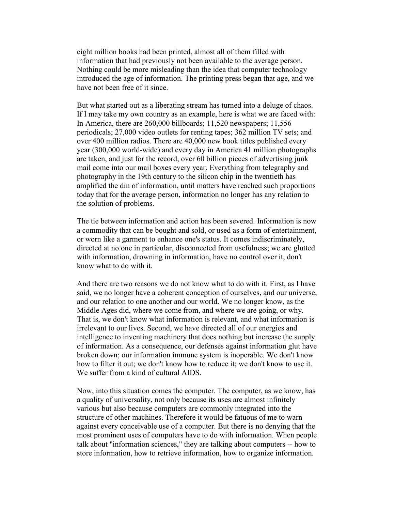eight million books had been printed, almost all of them filled with information that had previously not been available to the average person. Nothing could be more misleading than the idea that computer technology introduced the age of information. The printing press began that age, and we have not been free of it since.

But what started out as a liberating stream has turned into a deluge of chaos. If I may take my own country as an example, here is what we are faced with: In America, there are 260,000 billboards; 11,520 newspapers; 11,556 periodicals; 27,000 video outlets for renting tapes; 362 million TV sets; and over 400 million radios. There are 40,000 new book titles published every year (300,000 world-wide) and every day in America 41 million photographs are taken, and just for the record, over 60 billion pieces of advertising junk mail come into our mail boxes every year. Everything from telegraphy and photography in the 19th century to the silicon chip in the twentieth has amplified the din of information, until matters have reached such proportions today that for the average person, information no longer has any relation to the solution of problems.

The tie between information and action has been severed. Information is now a commodity that can be bought and sold, or used as a form of entertainment, or worn like a garment to enhance one's status. It comes indiscriminately, directed at no one in particular, disconnected from usefulness; we are glutted with information, drowning in information, have no control over it, don't know what to do with it.

And there are two reasons we do not know what to do with it. First, as I have said, we no longer have a coherent conception of ourselves, and our universe, and our relation to one another and our world. We no longer know, as the Middle Ages did, where we come from, and where we are going, or why. That is, we don't know what information is relevant, and what information is irrelevant to our lives. Second, we have directed all of our energies and intelligence to inventing machinery that does nothing but increase the supply of information. As a consequence, our defenses against information glut have broken down; our information immune system is inoperable. We don't know how to filter it out; we don't know how to reduce it; we don't know to use it. We suffer from a kind of cultural AIDS.

Now, into this situation comes the computer. The computer, as we know, has a quality of universality, not only because its uses are almost infinitely various but also because computers are commonly integrated into the structure of other machines. Therefore it would be fatuous of me to warn against every conceivable use of a computer. But there is no denying that the most prominent uses of computers have to do with information. When people talk about "information sciences," they are talking about computers -- how to store information, how to retrieve information, how to organize information.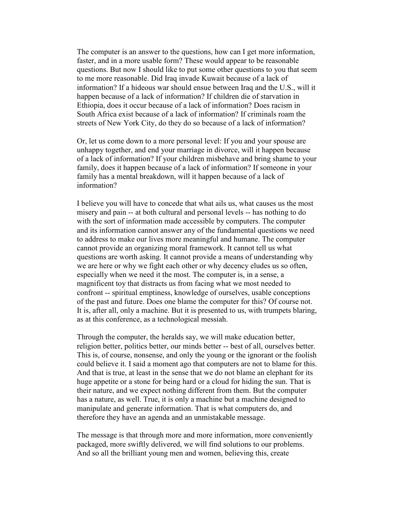The computer is an answer to the questions, how can I get more information, faster, and in a more usable form? These would appear to be reasonable questions. But now I should like to put some other questions to you that seem to me more reasonable. Did Iraq invade Kuwait because of a lack of information? If a hideous war should ensue between Iraq and the U.S., will it happen because of a lack of information? If children die of starvation in Ethiopia, does it occur because of a lack of information? Does racism in South Africa exist because of a lack of information? If criminals roam the streets of New York City, do they do so because of a lack of information?

Or, let us come down to a more personal level: If you and your spouse are unhappy together, and end your marriage in divorce, will it happen because of a lack of information? If your children misbehave and bring shame to your family, does it happen because of a lack of information? If someone in your family has a mental breakdown, will it happen because of a lack of information?

I believe you will have to concede that what ails us, what causes us the most misery and pain -- at both cultural and personal levels -- has nothing to do with the sort of information made accessible by computers. The computer and its information cannot answer any of the fundamental questions we need to address to make our lives more meaningful and humane. The computer cannot provide an organizing moral framework. It cannot tell us what questions are worth asking. It cannot provide a means of understanding why we are here or why we fight each other or why decency eludes us so often, especially when we need it the most. The computer is, in a sense, a magnificent toy that distracts us from facing what we most needed to confront -- spiritual emptiness, knowledge of ourselves, usable conceptions of the past and future. Does one blame the computer for this? Of course not. It is, after all, only a machine. But it is presented to us, with trumpets blaring, as at this conference, as a technological messiah.

Through the computer, the heralds say, we will make education better, religion better, politics better, our minds better -- best of all, ourselves better. This is, of course, nonsense, and only the young or the ignorant or the foolish could believe it. I said a moment ago that computers are not to blame for this. And that is true, at least in the sense that we do not blame an elephant for its huge appetite or a stone for being hard or a cloud for hiding the sun. That is their nature, and we expect nothing different from them. But the computer has a nature, as well. True, it is only a machine but a machine designed to manipulate and generate information. That is what computers do, and therefore they have an agenda and an unmistakable message.

The message is that through more and more information, more conveniently packaged, more swiftly delivered, we will find solutions to our problems. And so all the brilliant young men and women, believing this, create